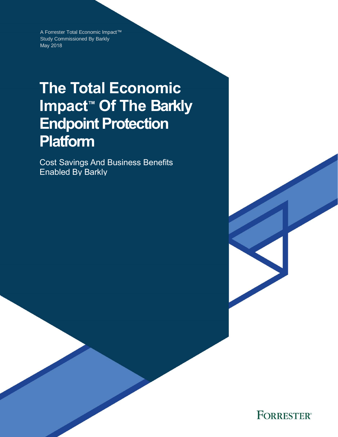A Forrester Total Economic Impact™ Study Commissioned By Barkly May 2018

# **The Total Economic Impact™ Of The Barkly Endpoint Protection Platform**

Cost Savings And Business Benefits Enabled By Barkly

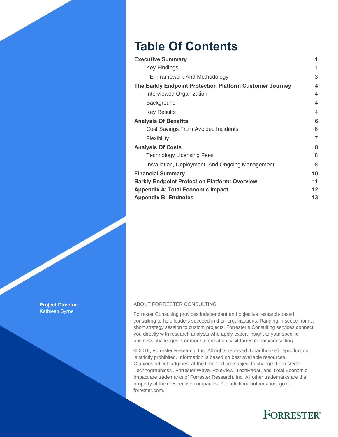## **Table Of Contents**

| <b>Executive Summary</b>                                 | 1              |
|----------------------------------------------------------|----------------|
| <b>Key Findings</b>                                      | 1              |
| <b>TEI Framework And Methodology</b>                     | 3              |
| The Barkly Endpoint Protection Platform Customer Journey | 4              |
| Interviewed Organization                                 | 4              |
| Background                                               | $\overline{4}$ |
| <b>Key Results</b>                                       | 4              |
| <b>Analysis Of Benefits</b>                              | 6              |
| Cost Savings From Avoided Incidents                      | 6              |
| Flexibility                                              | 7              |
| <b>Analysis Of Costs</b>                                 | 8              |
| <b>Technology Licensing Fees</b>                         | 8              |
| Installation, Deployment, And Ongoing Management         | 8              |
| <b>Financial Summary</b>                                 | 10             |
| <b>Barkly Endpoint Protection Platform: Overview</b>     | 11             |
| <b>Appendix A: Total Economic Impact</b>                 | $12 \,$        |
| <b>Appendix B: Endnotes</b>                              | 13             |

**Project Director:** Kathleen Byrne

#### ABOUT FORRESTER CONSULTING

Forrester Consulting provides independent and objective research-based consulting to help leaders succeed in their organizations. Ranging in scope from a short strategy session to custom projects, Forrester's Consulting services connect you directly with research analysts who apply expert insight to your specific business challenges. For more information, visit forrester.com/consulting.

© 2018, Forrester Research, Inc. All rights reserved. Unauthorized reproduction is strictly prohibited. Information is based on best available resources. Opinions reflect judgment at the time and are subject to change. Forrester®, Technographics®, Forrester Wave, RoleView, TechRadar, and Total Economic Impact are trademarks of Forrester Research, Inc. All other trademarks are the property of their respective companies. For additional information, go to forrester.com.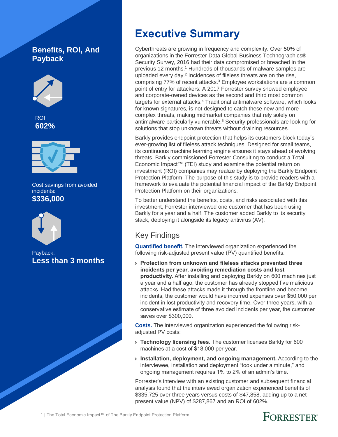### **Benefits, ROI, And Payback**





Cost savings from avoided incidents: **\$336,000**



Payback: **Less than 3 months**

## **Executive Summary**

Cyberthreats are growing in frequency and complexity. Over 50% of organizations in the Forrester Data Global Business Technographics® Security Survey, 2016 had their data compromised or breached in the previous 12 months.<sup>1</sup> Hundreds of thousands of malware samples are uploaded every day. 2 Incidences of fileless threats are on the rise, comprising 77% of recent attacks. <sup>3</sup> Employee workstations are a common point of entry for attackers: A 2017 Forrester survey showed employee and corporate-owned devices as the second and third most common targets for external attacks.<sup>4</sup> Traditional antimalware software, which looks for known signatures, is not designed to catch these new and more complex threats, making midmarket companies that rely solely on antimalware particularly vulnerable. <sup>5</sup> Security professionals are looking for solutions that stop unknown threats without draining resources.

Barkly provides endpoint protection that helps its customers block today's ever-growing list of fileless attack techniques. Designed for small teams, its continuous machine learning engine ensures it stays ahead of evolving threats. Barkly commissioned Forrester Consulting to conduct a Total Economic Impact™ (TEI) study and examine the potential return on investment (ROI) companies may realize by deploying the Barkly Endpoint Protection Platform. The purpose of this study is to provide readers with a framework to evaluate the potential financial impact of the Barkly Endpoint Protection Platform on their organizations.

To better understand the benefits, costs, and risks associated with this investment, Forrester interviewed one customer that has been using Barkly for a year and a half. The customer added Barkly to its security stack, deploying it alongside its legacy antivirus (AV).

### Key Findings

**Quantified benefit.** The interviewed organization experienced the following risk-adjusted present value (PV) quantified benefits:

› **Protection from unknown and fileless attacks prevented three incidents per year, avoiding remediation costs and lost productivity.** After installing and deploying Barkly on 600 machines just a year and a half ago, the customer has already stopped five malicious attacks. Had these attacks made it through the frontline and become incidents, the customer would have incurred expenses over \$50,000 per incident in lost productivity and recovery time. Over three years, with a conservative estimate of three avoided incidents per year, the customer saves over \$300,000.

**Costs.** The interviewed organization experienced the following riskadjusted PV costs:

- › **Technology licensing fees.** The customer licenses Barkly for 600 machines at a cost of \$18,000 per year.
- › **Installation, deployment, and ongoing management.** According to the interviewee, installation and deployment "took under a minute," and ongoing management requires 1% to 2% of an admin's time.

Forrester's interview with an existing customer and subsequent financial analysis found that the interviewed organization experienced benefits of \$335,725 over three years versus costs of \$47,858, adding up to a net present value (NPV) of \$287,867 and an ROI of 602%.

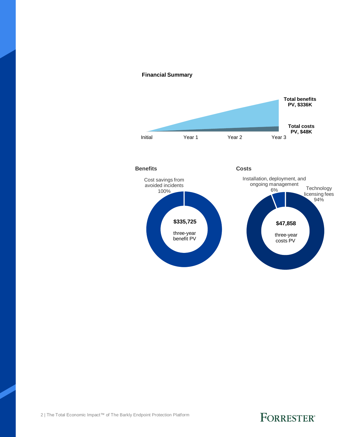#### **Financial Summary**

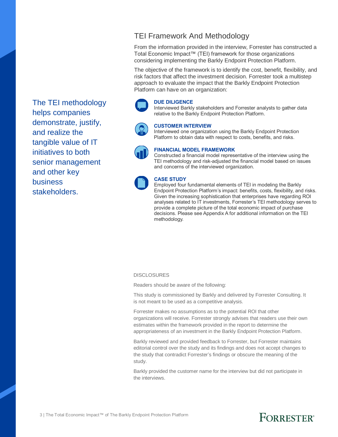The TEI methodology helps companies demonstrate, justify, and realize the tangible value of IT initiatives to both senior management and other key business stakeholders.

### TEI Framework And Methodology

From the information provided in the interview, Forrester has constructed a Total Economic Impact™ (TEI) framework for those organizations considering implementing the Barkly Endpoint Protection Platform.

The objective of the framework is to identify the cost, benefit, flexibility, and risk factors that affect the investment decision. Forrester took a multistep approach to evaluate the impact that the Barkly Endpoint Protection Platform can have on an organization:

### **DUE DILIGENCE**

Interviewed Barkly stakeholders and Forrester analysts to gather data relative to the Barkly Endpoint Protection Platform.



#### **CUSTOMER INTERVIEW**

Interviewed one organization using the Barkly Endpoint Protection Platform to obtain data with respect to costs, benefits, and risks.



#### **FINANCIAL MODEL FRAMEWORK**

Constructed a financial model representative of the interview using the TEI methodology and risk-adjusted the financial model based on issues and concerns of the interviewed organization.



#### **CASE STUDY**

Employed four fundamental elements of TEI in modeling the Barkly Endpoint Protection Platform's impact: benefits, costs, flexibility, and risks. Given the increasing sophistication that enterprises have regarding ROI analyses related to IT investments, Forrester's TEI methodology serves to provide a complete picture of the total economic impact of purchase decisions. Please see Appendix A for additional information on the TEI methodology.

#### **DISCLOSURES**

Readers should be aware of the following:

This study is commissioned by Barkly and delivered by Forrester Consulting. It is not meant to be used as a competitive analysis.

Forrester makes no assumptions as to the potential ROI that other organizations will receive. Forrester strongly advises that readers use their own estimates within the framework provided in the report to determine the appropriateness of an investment in the Barkly Endpoint Protection Platform.

Barkly reviewed and provided feedback to Forrester, but Forrester maintains editorial control over the study and its findings and does not accept changes to the study that contradict Forrester's findings or obscure the meaning of the study.

Barkly provided the customer name for the interview but did not participate in the interviews.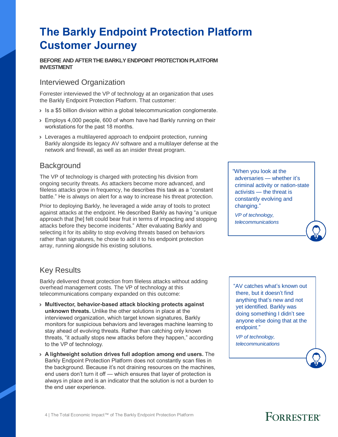## **The Barkly Endpoint Protection Platform Customer Journey**

#### **BEFORE AND AFTER THE BARKLY ENDPOINT PROTECTION PLATFORM INVESTMENT**

### Interviewed Organization

Forrester interviewed the VP of technology at an organization that uses the Barkly Endpoint Protection Platform. That customer:

- › Is a \$5 billion division within a global telecommunication conglomerate.
- › Employs 4,000 people, 600 of whom have had Barkly running on their workstations for the past 18 months.
- › Leverages a multilayered approach to endpoint protection, running Barkly alongside its legacy AV software and a multilayer defense at the network and firewall, as well as an insider threat program.

### **Background**

The VP of technology is charged with protecting his division from ongoing security threats. As attackers become more advanced, and fileless attacks grow in frequency, he describes this task as a "constant battle." He is always on alert for a way to increase his threat protection.

Prior to deploying Barkly, he leveraged a wide array of tools to protect against attacks at the endpoint. He described Barkly as having "a unique approach that [he] felt could bear fruit in terms of impacting and stopping attacks before they become incidents." After evaluating Barkly and selecting it for its ability to stop evolving threats based on behaviors rather than signatures, he chose to add it to his endpoint protection array, running alongside his existing solutions.

"When you look at the adversaries — whether it's criminal activity or nation-state activists — the threat is constantly evolving and changing."

*VP of technology, telecommunications*

### Key Results

Barkly delivered threat protection from fileless attacks without adding overhead management costs. The VP of technology at this telecommunications company expanded on this outcome:

- › **Multivector, behavior-based attack blocking protects against unknown threats.** Unlike the other solutions in place at the interviewed organization, which target known signatures, Barkly monitors for suspicious behaviors and leverages machine learning to stay ahead of evolving threats. Rather than catching only known threats, "it actually stops new attacks before they happen," according to the VP of technology.
- › **A lightweight solution drives full adoption among end users.** The Barkly Endpoint Protection Platform does not constantly scan files in the background. Because it's not draining resources on the machines, end users don't turn it off — which ensures that layer of protection is always in place and is an indicator that the solution is not a burden to the end user experience.

"AV catches what's known out there, but it doesn't find anything that's new and not yet identified. Barkly was doing something I didn't see anyone else doing that at the endpoint."

*VP of technology, telecommunications*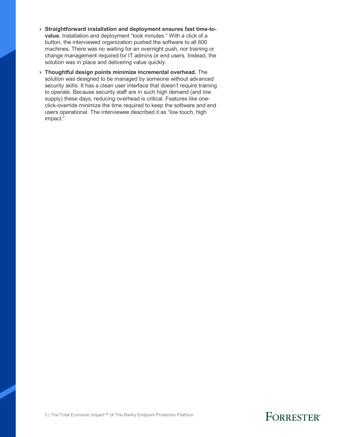- › **Straightforward installation and deployment ensures fast time-tovalue.** Installation and deployment "took minutes." With a click of a button, the interviewed organization pushed the software to all 600 machines. There was no waiting for an overnight push, nor training or change management required for IT admins or end users. Instead, the solution was in place and delivering value quickly.
- › **Thoughtful design points minimize incremental overhead.** The solution was designed to be managed by someone without advanced security skills: It has a clean user interface that doesn't require training to operate. Because security staff are in such high demand (and low supply) these days, reducing overhead is critical. Features like oneclick-override minimize the time required to keep the software and end users operational. The interviewee described it as "low touch, high impact."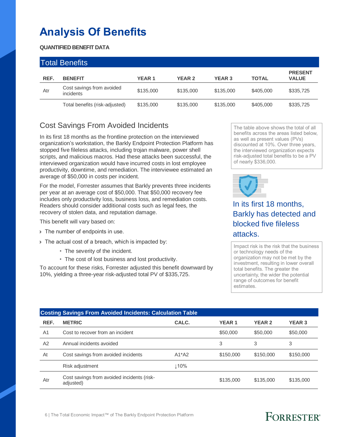## **Analysis Of Benefits**

### **QUANTIFIED BENEFIT DATA**

| <b>Total Benefits</b> |                                        |              |               |               |              |                                |  |
|-----------------------|----------------------------------------|--------------|---------------|---------------|--------------|--------------------------------|--|
| REF.                  | <b>BENEFIT</b>                         | <b>YEAR1</b> | <b>YEAR 2</b> | <b>YEAR 3</b> | <b>TOTAL</b> | <b>PRESENT</b><br><b>VALUE</b> |  |
| Atr                   | Cost savings from avoided<br>incidents | \$135,000    | \$135,000     | \$135,000     | \$405,000    | \$335,725                      |  |
|                       | Total benefits (risk-adjusted)         | \$135,000    | \$135,000     | \$135,000     | \$405,000    | \$335,725                      |  |

### Cost Savings From Avoided Incidents

In its first 18 months as the frontline protection on the interviewed organization's workstation, the Barkly Endpoint Protection Platform has stopped five fileless attacks, including trojan malware, power shell scripts, and malicious macros. Had these attacks been successful, the interviewed organization would have incurred costs in lost employee productivity, downtime, and remediation. The interviewee estimated an average of \$50,000 in costs per incident.

For the model, Forrester assumes that Barkly prevents three incidents per year at an average cost of \$50,000. That \$50,000 recovery fee includes only productivity loss, business loss, and remediation costs. Readers should consider additional costs such as legal fees, the recovery of stolen data, and reputation damage.

This benefit will vary based on:

- > The number of endpoints in use.
- › The actual cost of a breach, which is impacted by:
	- The severity of the incident.
	- The cost of lost business and lost productivity.

To account for these risks, Forrester adjusted this benefit downward by 10%, yielding a three-year risk-adjusted total PV of \$335,725.

The table above shows the total of all benefits across the areas listed below, as well as present values (PVs) discounted at 10%. Over three years, the interviewed organization expects risk-adjusted total benefits to be a PV of nearly \$336,000.



In its first 18 months, Barkly has detected and blocked five fileless attacks.

Impact risk is the risk that the business or technology needs of the organization may not be met by the investment, resulting in lower overall total benefits. The greater the uncertainty, the wider the potential range of outcomes for benefit estimates.

|                | <b>Costing Savings From Avoided Incidents: Calculation Table</b> |             |              |               |               |  |  |  |
|----------------|------------------------------------------------------------------|-------------|--------------|---------------|---------------|--|--|--|
| REF.           | <b>METRIC</b>                                                    | CALC.       | <b>YEAR1</b> | <b>YEAR 2</b> | <b>YEAR 3</b> |  |  |  |
| A <sub>1</sub> | Cost to recover from an incident                                 |             | \$50,000     | \$50,000      | \$50,000      |  |  |  |
| A2             | Annual incidents avoided                                         |             | 3            | 3             | 3             |  |  |  |
| At             | Cost savings from avoided incidents                              | $A1^*A2$    | \$150,000    | \$150,000     | \$150,000     |  |  |  |
|                | Risk adjustment                                                  | $\perp$ 10% |              |               |               |  |  |  |
| Atr            | Cost savings from avoided incidents (risk-<br>adjusted)          |             | \$135,000    | \$135,000     | \$135,000     |  |  |  |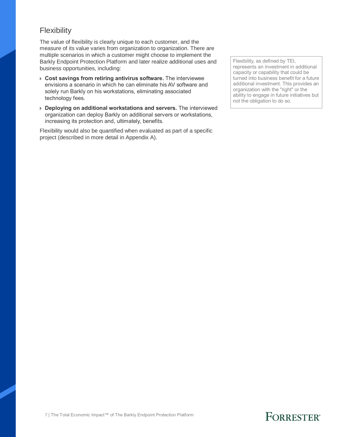### **Flexibility**

The value of flexibility is clearly unique to each customer, and the measure of its value varies from organization to organization. There are multiple scenarios in which a customer might choose to implement the Barkly Endpoint Protection Platform and later realize additional uses and business opportunities, including:

- › **Cost savings from retiring antivirus software.** The interviewee envisions a scenario in which he can eliminate his AV software and solely run Barkly on his workstations, eliminating associated technology fees.
- › **Deploying on additional workstations and servers.** The interviewed organization can deploy Barkly on additional servers or workstations, increasing its protection and, ultimately, benefits.

Flexibility would also be quantified when evaluated as part of a specific project (described in more detail in Appendix A).

Flexibility, as defined by TEI, represents an investment in additional capacity or capability that could be turned into business benefit for a future additional investment. This provides an organization with the "right" or the ability to engage in future initiatives but not the obligation to do so.

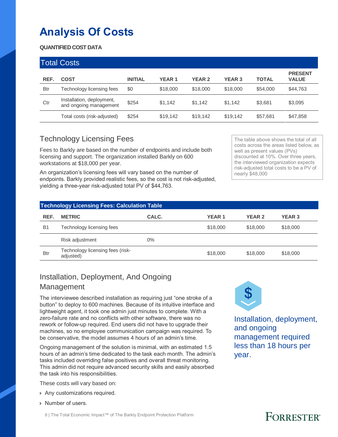## **Analysis Of Costs**

### **QUANTIFIED COST DATA**

| <b>Total Costs</b> |                                                     |                |               |               |               |              |                                |
|--------------------|-----------------------------------------------------|----------------|---------------|---------------|---------------|--------------|--------------------------------|
| REF.               | <b>COST</b>                                         | <b>INITIAL</b> | <b>YEAR 1</b> | <b>YEAR 2</b> | <b>YEAR 3</b> | <b>TOTAL</b> | <b>PRESENT</b><br><b>VALUE</b> |
| <b>Btr</b>         | Technology licensing fees                           | \$0            | \$18,000      | \$18,000      | \$18,000      | \$54,000     | \$44,763                       |
| Ctr                | Installation, deployment,<br>and ongoing management | \$254          | \$1,142       | \$1.142       | \$1.142       | \$3,681      | \$3,095                        |
|                    | Total costs (risk-adjusted)                         | \$254          | \$19,142      | \$19,142      | \$19,142      | \$57,681     | \$47,858                       |

### Technology Licensing Fees

Fees to Barkly are based on the number of endpoints and include both licensing and support. The organization installed Barkly on 600 workstations at \$18,000 per year.

An organization's licensing fees will vary based on the number of endpoints. Barkly provided realistic fees, so the cost is not risk-adjusted, yielding a three-year risk-adjusted total PV of \$44,763.

The table above shows the total of all costs across the areas listed below, as well as present values (PVs) discounted at 10%. Over three years, the interviewed organization expects risk-adjusted total costs to be a PV of nearly \$48,000

| <b>Technology Licensing Fees: Calculation Table</b> |                                               |       |              |               |               |  |  |
|-----------------------------------------------------|-----------------------------------------------|-------|--------------|---------------|---------------|--|--|
| REF.                                                | <b>METRIC</b>                                 | CALC. | <b>YEAR1</b> | <b>YEAR 2</b> | <b>YEAR 3</b> |  |  |
| <b>B1</b>                                           | Technology licensing fees                     |       | \$18,000     | \$18,000      | \$18,000      |  |  |
|                                                     | Risk adjustment                               | $0\%$ |              |               |               |  |  |
| <b>Btr</b>                                          | Technology licensing fees (risk-<br>adjusted) |       | \$18,000     | \$18,000      | \$18,000      |  |  |

### Installation, Deployment, And Ongoing Management

The interviewee described installation as requiring just "one stroke of a button" to deploy to 600 machines. Because of its intuitive interface and lightweight agent, it took one admin just minutes to complete. With a zero-failure rate and no conflicts with other software, there was no rework or follow-up required. End users did not have to upgrade their machines, so no employee communication campaign was required. To be conservative, the model assumes 4 hours of an admin's time.

Ongoing management of the solution is minimal, with an estimated 1.5 hours of an admin's time dedicated to the task each month. The admin's tasks included overriding false positives and overall threat monitoring. This admin did not require advanced security skills and easily absorbed the task into his responsibilities.

These costs will vary based on:

- › Any customizations required.
- › Number of users.



Installation, deployment, and ongoing management required less than 18 hours per year.

#### 8 | The Total Economic Impact™ of The Barkly Endpoint Protection Platform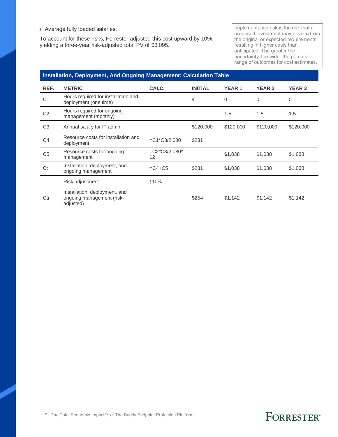› Average fully loaded salaries.

To account for these risks, Forrester adjusted this cost upward by 10%, yielding a three-year risk-adjusted total PV of \$3,095.

Implementation risk is the risk that a proposed investment may deviate from the original or expected requirements, resulting in higher costs than anticipated. The greater the uncertainty, the wider the potential range of outcomes for cost estimates.

#### **Installation, Deployment, And Ongoing Management: Calculation Table**

| REF.           | <b>METRIC</b>                                                           | CALC.                       | <b>INITIAL</b> | <b>YEAR1</b> | <b>YEAR 2</b> | <b>YEAR 3</b> |
|----------------|-------------------------------------------------------------------------|-----------------------------|----------------|--------------|---------------|---------------|
| C <sub>1</sub> | Hours required for installation and<br>deployment (one time)            |                             | 4              | $\Omega$     | $\Omega$      | 0             |
| C <sub>2</sub> | Hours required for ongoing<br>management (monthly)                      |                             |                | 1.5          | 1.5           | 1.5           |
| C <sub>3</sub> | Annual salary for IT admin                                              |                             | \$120,000      | \$120,000    | \$120,000     | \$120,000     |
| C <sub>4</sub> | Resource costs for installation and<br>deployment                       | $=C1$ <sup>*</sup> C3/2,080 | \$231          |              |               |               |
| C <sub>5</sub> | Resource costs for ongoing<br>management                                | $=C2*C3/2,080*$<br>12       |                | \$1,038      | \$1,038       | \$1,038       |
| Ct             | Installation, deployment, and<br>ongoing management                     | $= C4 + C5$                 | \$231          | \$1,038      | \$1,038       | \$1,038       |
|                | Risk adjustment                                                         | ↑10%                        |                |              |               |               |
| Ctr            | Installation, deployment, and<br>ongoing management (risk-<br>adjusted) |                             | \$254          | \$1,142      | \$1,142       | \$1,142       |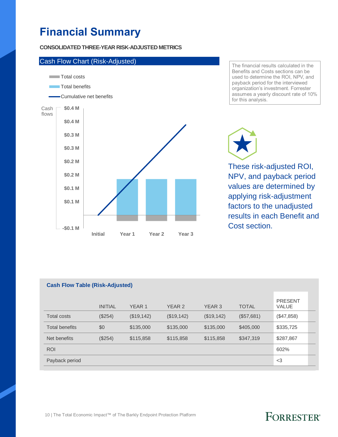## **Financial Summary**

#### **CONSOLIDATED THREE-YEAR RISK-ADJUSTED METRICS**



The financial results calculated in the Benefits and Costs sections can be used to determine the ROI, NPV, and payback period for the interviewed organization's investment. Forrester assumes a yearly discount rate of 10% for this analysis.

These risk-adjusted ROI,

NPV, and payback period values are determined by applying risk-adjustment factors to the unadjusted results in each Benefit and Cost section.

| <b>Cash Flow Table (Risk-Adjusted)</b> |                |                   |            |                   |              |                         |  |  |
|----------------------------------------|----------------|-------------------|------------|-------------------|--------------|-------------------------|--|--|
|                                        | <b>INITIAL</b> | YEAR <sub>1</sub> | YEAR 2     | YEAR <sub>3</sub> | <b>TOTAL</b> | <b>PRESENT</b><br>VALUE |  |  |
| <b>Total costs</b>                     | (\$254)        | (\$19,142)        | (\$19,142) | (\$19,142)        | (\$57,681)   | (\$47,858)              |  |  |
| <b>Total benefits</b>                  | \$0            | \$135,000         | \$135,000  | \$135,000         | \$405,000    | \$335,725               |  |  |
| Net benefits                           | (\$254)        | \$115,858         | \$115,858  | \$115,858         | \$347,319    | \$287,867               |  |  |
| <b>ROI</b>                             |                |                   |            |                   |              | 602%                    |  |  |
| Payback period                         |                |                   |            |                   |              | $<$ 3                   |  |  |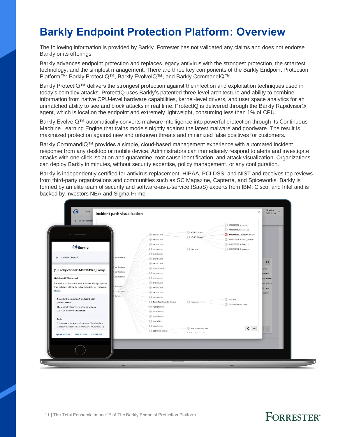## **Barkly Endpoint Protection Platform: Overview**

The following information is provided by Barkly. Forrester has not validated any claims and does not endorse Barkly or its offerings.

Barkly advances endpoint protection and replaces legacy antivirus with the strongest protection, the smartest technology, and the simplest management. There are three key components of the Barkly Endpoint Protection Platform™: Barkly ProtectIQ™, Barkly EvolveIQ™, and Barkly CommandIQ™.

Barkly ProtectIQ™ delivers the strongest protection against the infection and exploitation techniques used in today's complex attacks. ProtectIQ uses Barkly's patented three-level architecture and ability to combine information from native CPU-level hardware capabilities, kernel-level drivers, and user space analytics for an unmatched ability to see and block attacks in real time. ProtectIQ is delivered through the Barkly Rapidvisor® agent, which is local on the endpoint and extremely lightweight, consuming less than 1% of CPU.

Barkly EvolveIQ™ automatically converts malware intelligence into powerful protection through its Continuous Machine Learning Engine that trains models nightly against the latest malware and goodware. The result is maximized protection against new and unknown threats and minimized false positives for customers.

Barkly CommandIQ™ provides a simple, cloud-based management experience with automated incident response from any desktop or mobile device. Administrators can immediately respond to alerts and investigate attacks with one-click isolation and quarantine, root cause identification, and attack visualization. Organizations can deploy Barkly in minutes, without security expertise, policy management, or any configuration.

Barkly is independently certified for antivirus replacement, HIPAA, PCI DSS, and NIST and receives top reviews from third-party organizations and communities such as SC Magazine, Capterra, and Spiceworks. Barkly is formed by an elite team of security and software-as-a-service (SaaS) experts from IBM, Cisco, and Intel and is backed by investors NEA and Sigma Prime.

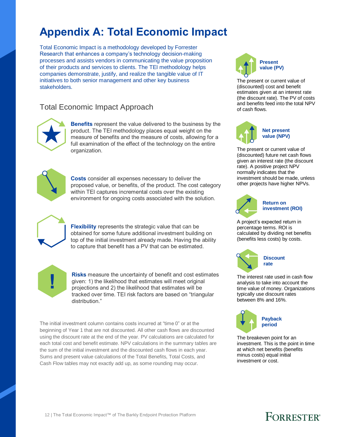## **Appendix A: Total Economic Impact**

Total Economic Impact is a methodology developed by Forrester Research that enhances a company's technology decision-making processes and assists vendors in communicating the value proposition of their products and services to clients. The TEI methodology helps companies demonstrate, justify, and realize the tangible value of IT initiatives to both senior management and other key business stakeholders.

### Total Economic Impact Approach



**Benefits** represent the value delivered to the business by the product. The TEI methodology places equal weight on the measure of benefits and the measure of costs, allowing for a full examination of the effect of the technology on the entire organization.



**Costs** consider all expenses necessary to deliver the proposed value, or benefits, of the product. The cost category within TEI captures incremental costs over the existing environment for ongoing costs associated with the solution.



**Flexibility** represents the strategic value that can be obtained for some future additional investment building on top of the initial investment already made. Having the ability to capture that benefit has a PV that can be estimated.



**Risks** measure the uncertainty of benefit and cost estimates given: 1) the likelihood that estimates will meet original projections and 2) the likelihood that estimates will be tracked over time. TEI risk factors are based on "triangular distribution."

The initial investment column contains costs incurred at "time 0" or at the beginning of Year 1 that are not discounted. All other cash flows are discounted using the discount rate at the end of the year. PV calculations are calculated for each total cost and benefit estimate. NPV calculations in the summary tables are the sum of the initial investment and the discounted cash flows in each year. Sums and present value calculations of the Total Benefits, Total Costs, and Cash Flow tables may not exactly add up, as some rounding may occur.



The present or current value of (discounted) cost and benefit estimates given at an interest rate (the discount rate). The PV of costs and benefits feed into the total NPV of cash flows.



The present or current value of (discounted) future net cash flows given an interest rate (the discount rate). A positive project NPV normally indicates that the investment should be made, unless other projects have higher NPVs.



#### **Return on investment (ROI)**

A project's expected return in percentage terms. ROI is calculated by dividing net benefits (benefits less costs) by costs.



The interest rate used in cash flow analysis to take into account the time value of money. Organizations typically use discount rates between 8% and 16%.



The breakeven point for an investment. This is the point in time at which net benefits (benefits minus costs) equal initial investment or cost.